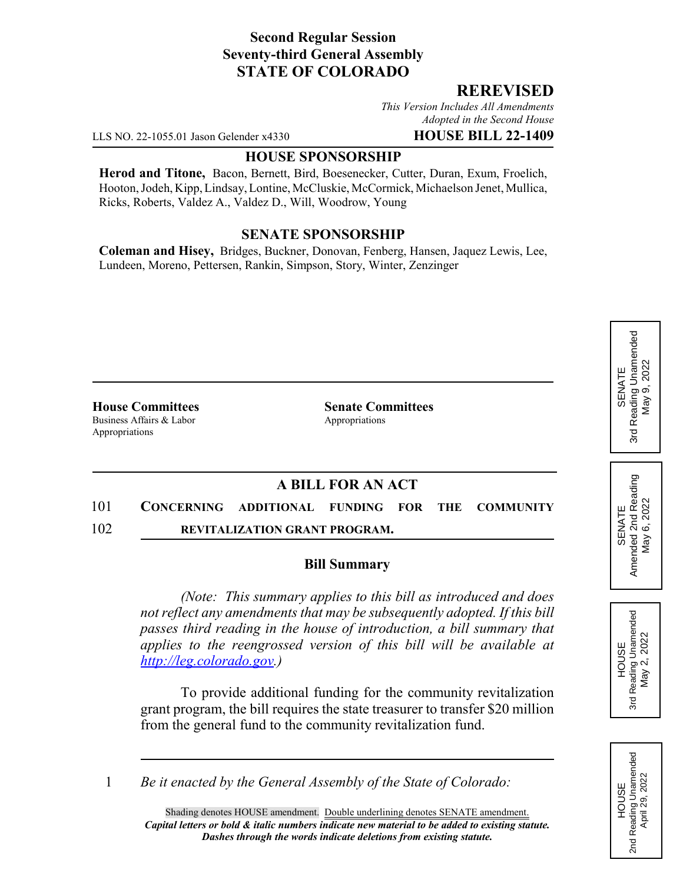## **Second Regular Session Seventy-third General Assembly STATE OF COLORADO**

## **REREVISED**

*This Version Includes All Amendments Adopted in the Second House*

LLS NO. 22-1055.01 Jason Gelender x4330 **HOUSE BILL 22-1409**

#### **HOUSE SPONSORSHIP**

**Herod and Titone,** Bacon, Bernett, Bird, Boesenecker, Cutter, Duran, Exum, Froelich, Hooton, Jodeh, Kipp, Lindsay, Lontine, McCluskie, McCormick, Michaelson Jenet, Mullica, Ricks, Roberts, Valdez A., Valdez D., Will, Woodrow, Young

## **SENATE SPONSORSHIP**

**Coleman and Hisey,** Bridges, Buckner, Donovan, Fenberg, Hansen, Jaquez Lewis, Lee, Lundeen, Moreno, Pettersen, Rankin, Simpson, Story, Winter, Zenzinger

Business Affairs & Labor Appropriations Appropriations

**House Committees Senate Committees**

# **A BILL FOR AN ACT**

101 **CONCERNING ADDITIONAL FUNDING FOR THE COMMUNITY** 102 **REVITALIZATION GRANT PROGRAM.**

#### **Bill Summary**

*(Note: This summary applies to this bill as introduced and does not reflect any amendments that may be subsequently adopted. If this bill passes third reading in the house of introduction, a bill summary that applies to the reengrossed version of this bill will be available at http://leg.colorado.gov.)*

To provide additional funding for the community revitalization grant program, the bill requires the state treasurer to transfer \$20 million from the general fund to the community revitalization fund.

1 *Be it enacted by the General Assembly of the State of Colorado:*

### Reading Unamended 3rd Reading Unamended  $9,2022$ May 9, 2022 SENATE May 3rd

SENATE<br>Amended 2nd Reading<br>May 6, 2022 Amended 2nd Reading May 6, 2022



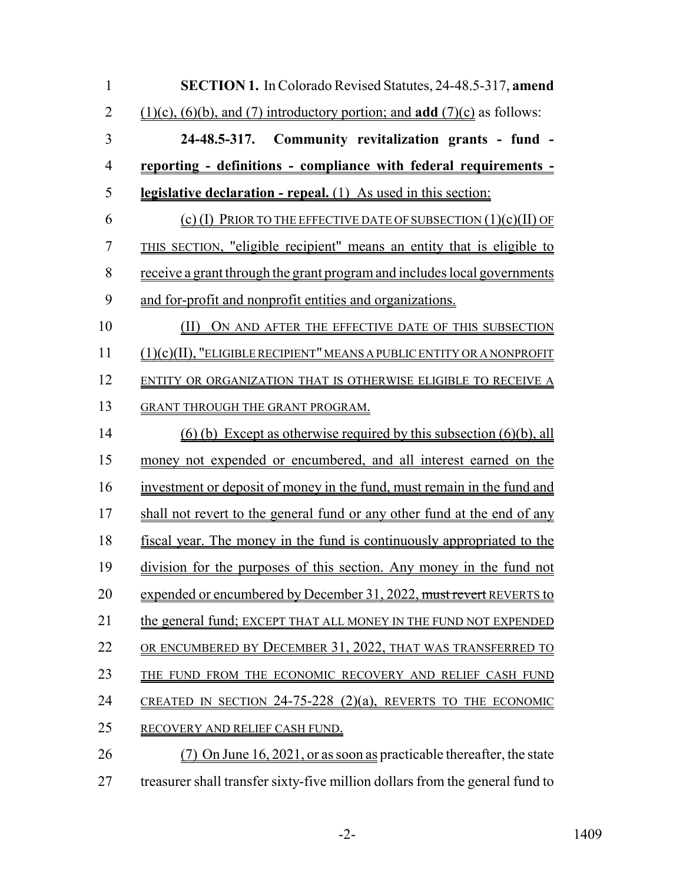| $\mathbf{1}$   | SECTION 1. In Colorado Revised Statutes, 24-48.5-317, amend                               |
|----------------|-------------------------------------------------------------------------------------------|
| $\overline{2}$ | $(1)(c)$ , $(6)(b)$ , and $(7)$ introductory portion; and <b>add</b> $(7)(c)$ as follows: |
| $\overline{3}$ | 24-48.5-317. Community revitalization grants - fund -                                     |
| $\overline{4}$ | <u>reporting - definitions - compliance with federal requirements -</u>                   |
| 5              | legislative declaration - repeal. (1) As used in this section:                            |
| 6              | (c) (I) PRIOR TO THE EFFECTIVE DATE OF SUBSECTION $(1)(c)(II)$ OF                         |
| $\overline{7}$ | THIS SECTION, "eligible recipient" means an entity that is eligible to                    |
| 8              | receive a grant through the grant program and includes local governments                  |
| 9              | and for-profit and nonprofit entities and organizations.                                  |
| 10             | (II) ON AND AFTER THE EFFECTIVE DATE OF THIS SUBSECTION                                   |
| 11             | (1)(c)(II), "ELIGIBLE RECIPIENT" MEANS A PUBLIC ENTITY OR A NONPROFIT                     |
| 12             | ENTITY OR ORGANIZATION THAT IS OTHERWISE ELIGIBLE TO RECEIVE A                            |
| 13             | GRANT THROUGH THE GRANT PROGRAM.                                                          |
| 14             | $(6)$ (b) Except as otherwise required by this subsection $(6)(b)$ , all                  |
| 15             | money not expended or encumbered, and all interest earned on the                          |
| 16             | investment or deposit of money in the fund, must remain in the fund and                   |
| 17             | shall not revert to the general fund or any other fund at the end of any                  |
| 18             | fiscal year. The money in the fund is continuously appropriated to the                    |
| 19             | division for the purposes of this section. Any money in the fund not                      |
| 20             | expended or encumbered by December 31, 2022, must revert REVERTS to                       |
| 21             | the general fund; EXCEPT THAT ALL MONEY IN THE FUND NOT EXPENDED                          |
| 22             | OR ENCUMBERED BY DECEMBER 31, 2022, THAT WAS TRANSFERRED TO                               |
| 23             | THE FUND FROM THE ECONOMIC RECOVERY AND RELIEF CASH FUND                                  |
| 24             | CREATED IN SECTION 24-75-228 $(2)(a)$ , REVERTS TO THE ECONOMIC                           |
| 25             | RECOVERY AND RELIEF CASH FUND.                                                            |
| 26             | On June $16, 2021$ , or as soon as practicable thereafter, the state                      |
| 27             | treasurer shall transfer sixty-five million dollars from the general fund to              |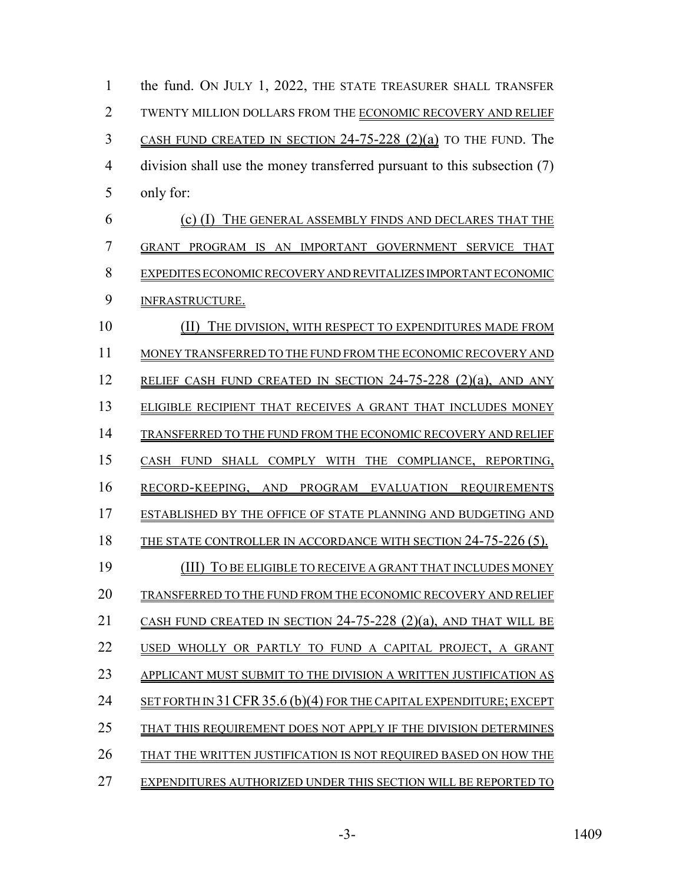1 the fund. ON JULY 1, 2022, THE STATE TREASURER SHALL TRANSFER TWENTY MILLION DOLLARS FROM THE ECONOMIC RECOVERY AND RELIEF CASH FUND CREATED IN SECTION 24-75-228 (2)(a) TO THE FUND. The division shall use the money transferred pursuant to this subsection (7) only for: (c) (I) THE GENERAL ASSEMBLY FINDS AND DECLARES THAT THE GRANT PROGRAM IS AN IMPORTANT GOVERNMENT SERVICE THAT EXPEDITES ECONOMIC RECOVERY AND REVITALIZES IMPORTANT ECONOMIC INFRASTRUCTURE. (II) THE DIVISION, WITH RESPECT TO EXPENDITURES MADE FROM MONEY TRANSFERRED TO THE FUND FROM THE ECONOMIC RECOVERY AND 12 RELIEF CASH FUND CREATED IN SECTION 24-75-228 (2)(a), AND ANY ELIGIBLE RECIPIENT THAT RECEIVES A GRANT THAT INCLUDES MONEY 14 TRANSFERRED TO THE FUND FROM THE ECONOMIC RECOVERY AND RELIEF CASH FUND SHALL COMPLY WITH THE COMPLIANCE, REPORTING, RECORD-KEEPING, AND PROGRAM EVALUATION REQUIREMENTS ESTABLISHED BY THE OFFICE OF STATE PLANNING AND BUDGETING AND 18 THE STATE CONTROLLER IN ACCORDANCE WITH SECTION 24-75-226 (5). (III) TO BE ELIGIBLE TO RECEIVE A GRANT THAT INCLUDES MONEY TRANSFERRED TO THE FUND FROM THE ECONOMIC RECOVERY AND RELIEF CASH FUND CREATED IN SECTION 24-75-228 (2)(a), AND THAT WILL BE USED WHOLLY OR PARTLY TO FUND A CAPITAL PROJECT, A GRANT APPLICANT MUST SUBMIT TO THE DIVISION A WRITTEN JUSTIFICATION AS 24 SET FORTH IN 31 CFR 35.6 (b)(4) FOR THE CAPITAL EXPENDITURE; EXCEPT 25 THAT THIS REQUIREMENT DOES NOT APPLY IF THE DIVISION DETERMINES THAT THE WRITTEN JUSTIFICATION IS NOT REQUIRED BASED ON HOW THE EXPENDITURES AUTHORIZED UNDER THIS SECTION WILL BE REPORTED TO